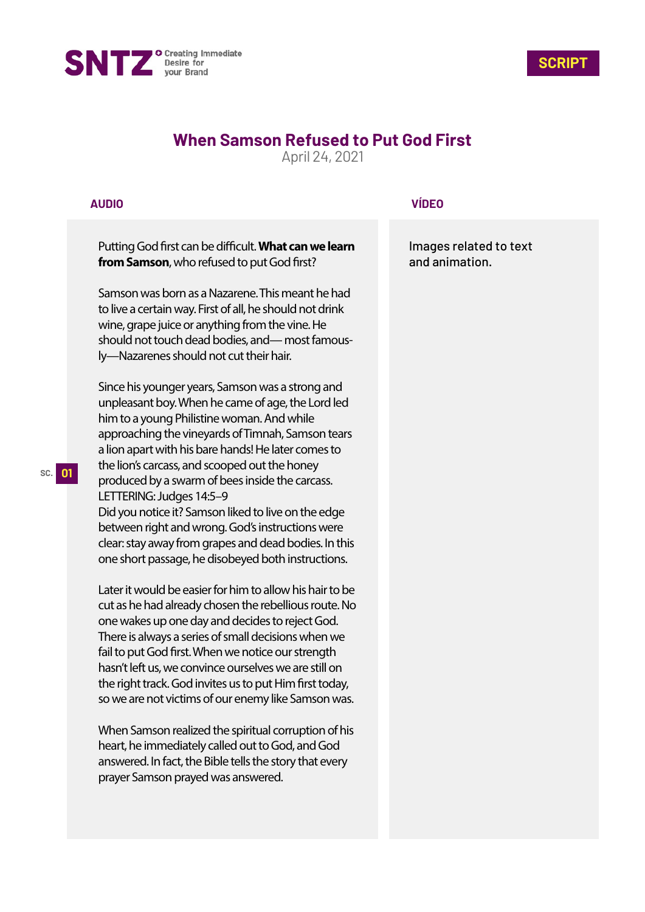



## **When Samson Refused to Put God First**

April 24, 2021

## **AUDIO**

Putting God first can be difficult. What can we learn **from Samson**, who refused to put God first?

Samson was born as a Nazarene. This meant he had to live a certain way. First of all, he should not drink wine, grape juice or anything from the vine. He should not touch dead bodies, and— most famously—Nazarenes should not cut their hair.

Since his younger years, Samson was a strong and unpleasant boy. When he came of age, the Lord led him to a young Philistine woman. And while approaching the vineyards of Timnah, Samson tears a lion apart with his bare hands! He later comes to the lion's carcass, and scooped out the honey produced by a swarm of bees inside the carcass. LETTERING: Judges 14:5–9 Did you notice it? Samson liked to live on the edge between right and wrong. God's instructions were clear: stay away from grapes and dead bodies. In this

one short passage, he disobeyed both instructions.

Later it would be easier for him to allow his hair to be cut as he had already chosen the rebellious route. No one wakes up one day and decides to reject God. There is always a series of small decisions when we fail to put God first. When we notice our strength hasn't left us, we convince ourselves we are still on the right track. God invites us to put Him first today, so we are not victims of our enemy like Samson was.

When Samson realized the spiritual corruption of his heart, he immediately called out to God, and God answered. In fact, the Bible tells the story that every prayer Samson prayed was answered.

## **VÍDEO**

Images related to text and animation.